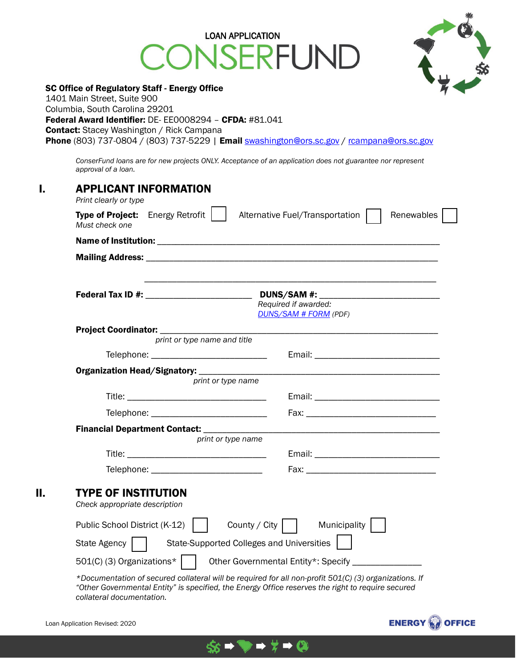# LOAN APPLICATION<br>VSERFUND ١N



|    | <b>SC Office of Regulatory Staff - Energy Office</b><br>1401 Main Street, Suite 900<br>Columbia, South Carolina 29201<br>Federal Award Identifier: DE-EE0008294 - CFDA: #81.041<br><b>Contact:</b> Stacey Washington / Rick Campana<br>Phone (803) 737-0804 / (803) 737-5229   Email swashington@ors.sc.gov / rcampana@ors.sc.gov                                       |
|----|-------------------------------------------------------------------------------------------------------------------------------------------------------------------------------------------------------------------------------------------------------------------------------------------------------------------------------------------------------------------------|
|    | ConserFund loans are for new projects ONLY. Acceptance of an application does not guarantee nor represent<br>approval of a loan.                                                                                                                                                                                                                                        |
| ı. | <b>APPLICANT INFORMATION</b><br>Print clearly or type                                                                                                                                                                                                                                                                                                                   |
|    | <b>Type of Project:</b> Energy Retrofit  <br>Renewables<br>Alternative Fuel/Transportation<br>Must check one                                                                                                                                                                                                                                                            |
|    |                                                                                                                                                                                                                                                                                                                                                                         |
|    |                                                                                                                                                                                                                                                                                                                                                                         |
|    | Federal Tax ID #: $\sqrt{ }$<br>Required if awarded:<br><b>DUNS/SAM # FORM (PDF)</b>                                                                                                                                                                                                                                                                                    |
|    | Project Coordinator: ________________<br>print or type name and title                                                                                                                                                                                                                                                                                                   |
|    | Telephone: ______________________________                                                                                                                                                                                                                                                                                                                               |
|    |                                                                                                                                                                                                                                                                                                                                                                         |
|    | print or type name                                                                                                                                                                                                                                                                                                                                                      |
|    |                                                                                                                                                                                                                                                                                                                                                                         |
|    |                                                                                                                                                                                                                                                                                                                                                                         |
|    |                                                                                                                                                                                                                                                                                                                                                                         |
|    | print or type name<br>Title: The Commission of the Commission of the Commission of the Commission of the Commission of the Commission<br>Email: Email: Email: Email: Email: Email: Email: Email: Email: Email: Email: Email: Email: Email: Email: Email: Email: Email: Email: Email: Email: Email: Email: Email: Email: Email: Email: Email: Email: Email: Email: Email |
|    | Telephone: _<br>Fax: The Equation of The Equation of The Equation of The Equation of The Equation of The Equation of The Equation of The Equation of The Equation of The Equation of The Equation of The Equation of The Equation of The Equat                                                                                                                          |
| П. | <b>TYPE OF INSTITUTION</b><br>Check appropriate description                                                                                                                                                                                                                                                                                                             |
|    | Municipality<br>County / City<br>Public School District (K-12)                                                                                                                                                                                                                                                                                                          |
|    | <b>State-Supported Colleges and Universities</b><br><b>State Agency</b>                                                                                                                                                                                                                                                                                                 |
|    | 501(C) (3) Organizations*<br>Other Governmental Entity*: Specify                                                                                                                                                                                                                                                                                                        |
|    | *Documentation of secured collateral will be required for all non-profit 501(C) (3) organizations. If<br>"Other Governmental Entity" is specified, the Energy Office reserves the right to require secured                                                                                                                                                              |

\$\$

 $\rightarrow \frac{1}{7} \rightarrow \textcircled{2}$ 

*collateral documentation.*

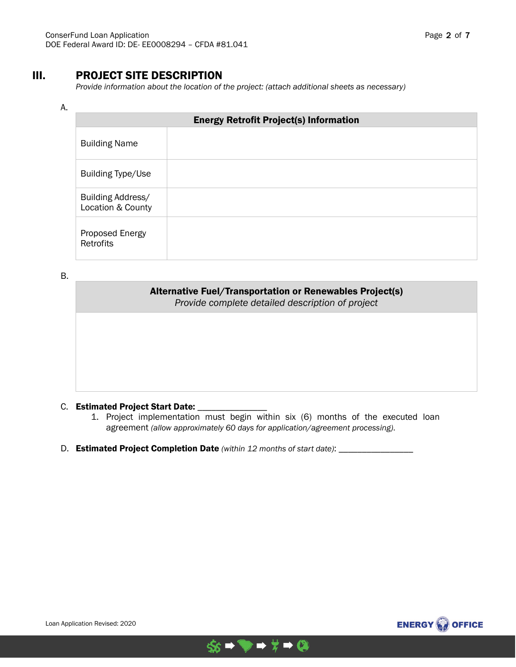## III. PROJECT SITE DESCRIPTION

*Provide information about the location of the project: (attach additional sheets as necessary)*

### A.

| <b>Energy Retrofit Project(s) Information</b> |  |  |
|-----------------------------------------------|--|--|
| <b>Building Name</b>                          |  |  |
| <b>Building Type/Use</b>                      |  |  |
| Building Address/<br>Location & County        |  |  |
| Proposed Energy<br><b>Retrofits</b>           |  |  |

B.

| <b>Alternative Fuel/Transportation or Renewables Project(s)</b><br>Provide complete detailed description of project |
|---------------------------------------------------------------------------------------------------------------------|
|                                                                                                                     |
|                                                                                                                     |
|                                                                                                                     |

#### C. Estimated Project Start Date:

- 1. Project implementation must begin within six (6) months of the executed loan agreement *(allow approximately 60 days for application/agreement processing)*.
- D. Estimated Project Completion Date *(within 12 months of start date)*: \_\_\_\_\_\_\_\_\_\_\_\_\_\_\_



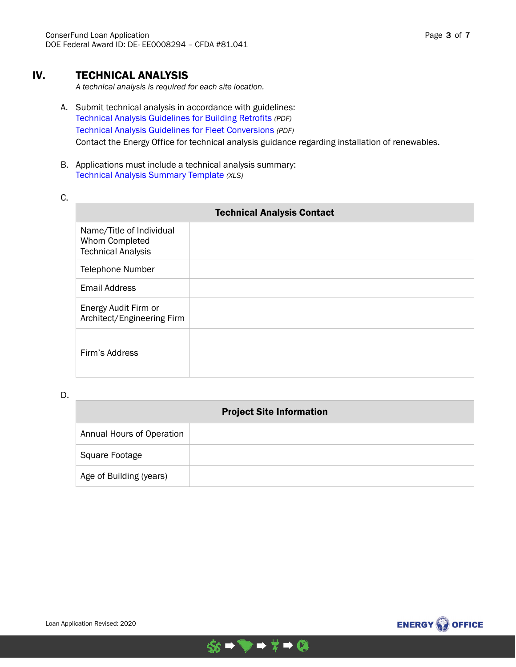## IV. TECHNICAL ANALYSIS

*A technical analysis is required for each site location.* 

- A. Submit technical analysis in accordance with guidelines: [Technical Analysis Guidelines for Building Retrofits](http://www.energy.sc.gov/files/CF%20TECHNICAL%20ANALYSIS%20GUIDELINES%20FOR%20BUILDING%20RETROFITS_LM_07.12.2018.pdf) *(PDF)* [Technical Analysis Guidelines for Fleet Conversions](http://www.energy.sc.gov/files/CF%20TECHNICAL%20ANALYSIS%20GUIDELINES%20FOR%20FLEET%20CONVERSIONS_LM_07.12.2018.pdf) *(PDF)* Contact the Energy Office for technical analysis guidance regarding installation of renewables.
- B. Applications must include a technical analysis summary: [Technical Analysis Summary Template](http://www.energy.sc.gov/files/view/ConserFundPlusTechAnalSummaryTemplate.xls) *(XLS)*
- C.

| <b>Technical Analysis Contact</b>                                       |  |  |
|-------------------------------------------------------------------------|--|--|
| Name/Title of Individual<br>Whom Completed<br><b>Technical Analysis</b> |  |  |
| <b>Telephone Number</b>                                                 |  |  |
| <b>Email Address</b>                                                    |  |  |
| Energy Audit Firm or<br>Architect/Engineering Firm                      |  |  |
| Firm's Address                                                          |  |  |

D.

| <b>Project Site Information</b> |  |  |
|---------------------------------|--|--|
| Annual Hours of Operation       |  |  |
| Square Footage                  |  |  |
| Age of Building (years)         |  |  |



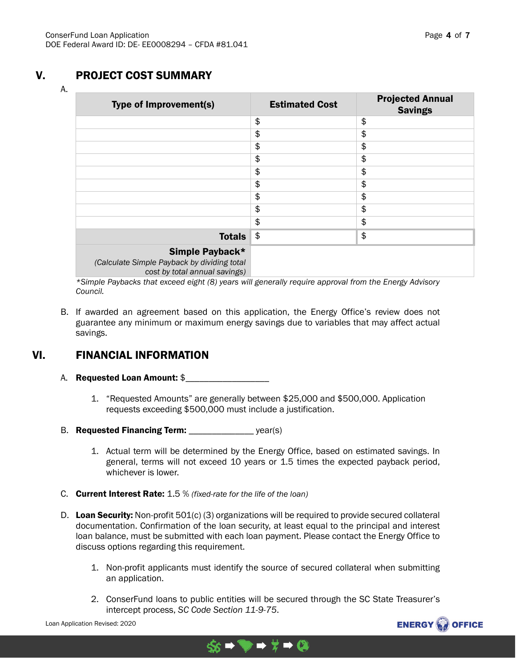# V. PROJECT COST SUMMARY

A.

| <b>Type of Improvement(s)</b>                                                                   | <b>Estimated Cost</b> | <b>Projected Annual</b><br><b>Savings</b> |
|-------------------------------------------------------------------------------------------------|-----------------------|-------------------------------------------|
|                                                                                                 | \$                    | \$                                        |
|                                                                                                 | \$                    | \$                                        |
|                                                                                                 | \$                    | \$                                        |
|                                                                                                 | \$                    | \$                                        |
|                                                                                                 | \$                    | \$                                        |
|                                                                                                 | \$                    | \$                                        |
|                                                                                                 | \$                    | \$                                        |
|                                                                                                 | \$                    | \$                                        |
|                                                                                                 | \$                    | \$                                        |
| <b>Totals</b>                                                                                   | \$                    | \$                                        |
| Simple Payback*<br>(Calculate Simple Payback by dividing total<br>cost by total annual savings) |                       |                                           |

*\*Simple Paybacks that exceed eight (8) years will generally require approval from the Energy Advisory Council.*

B. If awarded an agreement based on this application, the Energy Office's review does not guarantee any minimum or maximum energy savings due to variables that may affect actual savings.

# VI. FINANCIAL INFORMATION

## A. Requested Loan Amount: \$

- 1. "Requested Amounts" are generally between \$25,000 and \$500,000. Application requests exceeding \$500,000 must include a justification.
- B. Requested Financing Term: \_\_\_\_\_\_\_\_\_\_\_\_\_\_\_\_ year(s)
	- 1. Actual term will be determined by the Energy Office, based on estimated savings. In general, terms will not exceed 10 years or 1.5 times the expected payback period, whichever is lower.
- C. Current Interest Rate: 1.5 % *(fixed-rate for the life of the loan)*
- D. Loan Security: Non-profit 501(c) (3) organizations will be required to provide secured collateral documentation. Confirmation of the loan security, at least equal to the principal and interest loan balance, must be submitted with each loan payment. Please contact the Energy Office to discuss options regarding this requirement.
	- 1. Non-profit applicants must identify the source of secured collateral when submitting an application.
	- 2. ConserFund loans to public entities will be secured through the SC State Treasurer's intercept process, *SC Code Section 11-9-75*.



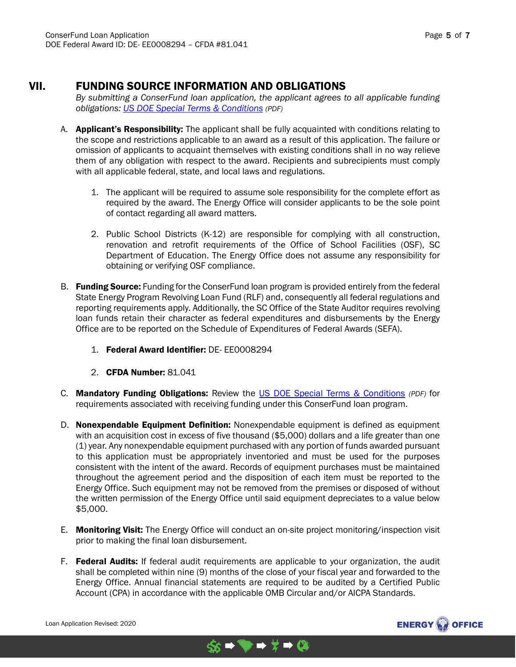## VII. FUNDING SOURCE INFORMATION AND OBLIGATIONS

*By submitting a ConserFund loan application, the applicant agrees to all applicable funding obligations: US DOE Special [Terms & Conditions](http://www.energy.sc.gov/files/grants/US%20DOE%20Terms%20and%20Conditions.pdf) (PDF)*

- A. **Applicant's Responsibility:** The applicant shall be fully acquainted with conditions relating to the scope and restrictions applicable to an award as a result of this application. The failure or omission of applicants to acquaint themselves with existing conditions shall in no way relieve them of any obligation with respect to the award. Recipients and subrecipients must comply with all applicable federal, state, and local laws and regulations.
	- 1. The applicant will be required to assume sole responsibility for the complete effort as required by the award. The Energy Office will consider applicants to be the sole point of contact regarding all award matters.
	- 2. Public School Districts (K-12) are responsible for complying with all construction, renovation and retrofit requirements of the Office of School Facilities (OSF), SC Department of Education. The Energy Office does not assume any responsibility for obtaining or verifying OSF compliance.
- B. Funding Source: Funding for the ConserFund loan program is provided entirely from the federal State Energy Program Revolving Loan Fund (RLF) and, consequently all federal regulations and reporting requirements apply. Additionally, the SC Office of the State Auditor requires revolving loan funds retain their character as federal expenditures and disbursements by the Energy Office are to be reported on the Schedule of Expenditures of Federal Awards (SEFA).
	- 1. Federal Award Identifier: DE- EE0008294
	- 2. CFDA Number: 81.041
- C. Mandatory Funding Obligations: Review the [US DOE Special Terms &](http://www.energy.sc.gov/files/grants/US%20DOE%20Terms%20and%20Conditions.pdf) Conditions *(PDF)* for requirements associated with receiving funding under this ConserFund loan program.
- D. Nonexpendable Equipment Definition: Nonexpendable equipment is defined as equipment with an acquisition cost in excess of five thousand (\$5,000) dollars and a life greater than one (1) year. Any nonexpendable equipment purchased with any portion of funds awarded pursuant to this application must be appropriately inventoried and must be used for the purposes consistent with the intent of the award. Records of equipment purchases must be maintained throughout the agreement period and the disposition of each item must be reported to the Energy Office. Such equipment may not be removed from the premises or disposed of without the written permission of the Energy Office until said equipment depreciates to a value below \$5,000.
- E. Monitoring Visit: The Energy Office will conduct an on-site project monitoring/inspection visit prior to making the final loan disbursement.
- F. Federal Audits: If federal audit requirements are applicable to your organization, the audit shall be completed within nine (9) months of the close of your fiscal year and forwarded to the Energy Office. Annual financial statements are required to be audited by a Certified Public Account (CPA) in accordance with the applicable OMB Circular and/or AICPA Standards.

 $$s + - + 2$ 

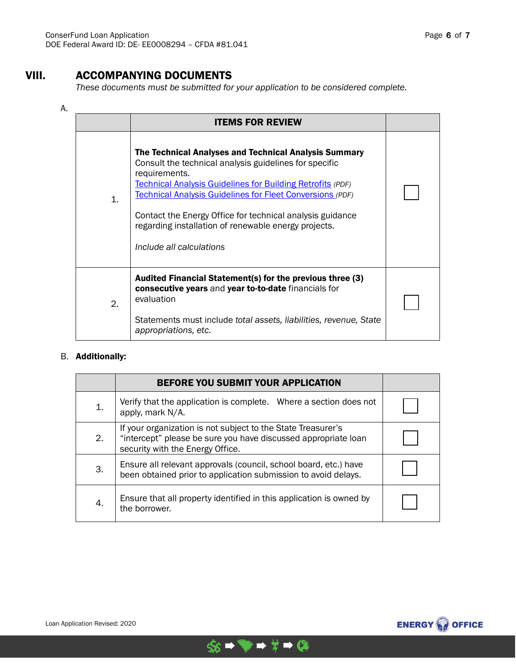# VIII. ACCOMPANYING DOCUMENTS

*These documents must be submitted for your application to be considered complete.*

#### A.

|              | <b>ITEMS FOR REVIEW</b>                                                                                                                                                                                                                                                                                                                                                                                                    |  |
|--------------|----------------------------------------------------------------------------------------------------------------------------------------------------------------------------------------------------------------------------------------------------------------------------------------------------------------------------------------------------------------------------------------------------------------------------|--|
| $\mathbf{1}$ | The Technical Analyses and Technical Analysis Summary<br>Consult the technical analysis guidelines for specific<br>requirements.<br><b>Technical Analysis Guidelines for Building Retrofits (PDF)</b><br><b>Technical Analysis Guidelines for Fleet Conversions (PDF)</b><br>Contact the Energy Office for technical analysis guidance<br>regarding installation of renewable energy projects.<br>Include all calculations |  |
| 2.           | Audited Financial Statement(s) for the previous three (3)<br>consecutive years and year to-to-date financials for<br>evaluation<br>Statements must include total assets, liabilities, revenue, State<br>appropriations, etc.                                                                                                                                                                                               |  |

## B. Additionally:

|    | BEFORE YOU SUBMIT YOUR APPLICATION                                                                                                                                 |  |
|----|--------------------------------------------------------------------------------------------------------------------------------------------------------------------|--|
| 1. | Verify that the application is complete. Where a section does not<br>apply, mark N/A.                                                                              |  |
| 2. | If your organization is not subject to the State Treasurer's<br>"intercept" please be sure you have discussed appropriate loan<br>security with the Energy Office. |  |
| 3. | Ensure all relevant approvals (council, school board, etc.) have<br>been obtained prior to application submission to avoid delays.                                 |  |
| 4. | Ensure that all property identified in this application is owned by<br>the borrower.                                                                               |  |